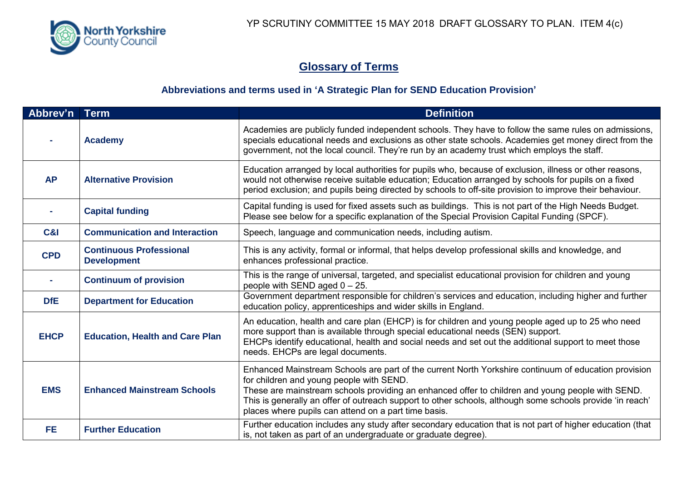

## **Glossary of Terms**

## **Abbreviations and terms used in 'A Strategic Plan for SEND Education Provision'**

| Abbrev'n    | <b>Term</b>                                          | <b>Definition</b>                                                                                                                                                                                                                                                                                                                                                                                                         |
|-------------|------------------------------------------------------|---------------------------------------------------------------------------------------------------------------------------------------------------------------------------------------------------------------------------------------------------------------------------------------------------------------------------------------------------------------------------------------------------------------------------|
|             | <b>Academy</b>                                       | Academies are publicly funded independent schools. They have to follow the same rules on admissions,<br>specials educational needs and exclusions as other state schools. Academies get money direct from the<br>government, not the local council. They're run by an academy trust which employs the staff.                                                                                                              |
| <b>AP</b>   | <b>Alternative Provision</b>                         | Education arranged by local authorities for pupils who, because of exclusion, illness or other reasons,<br>would not otherwise receive suitable education; Education arranged by schools for pupils on a fixed<br>period exclusion; and pupils being directed by schools to off-site provision to improve their behaviour.                                                                                                |
|             | <b>Capital funding</b>                               | Capital funding is used for fixed assets such as buildings. This is not part of the High Needs Budget.<br>Please see below for a specific explanation of the Special Provision Capital Funding (SPCF).                                                                                                                                                                                                                    |
| C&I         | <b>Communication and Interaction</b>                 | Speech, language and communication needs, including autism.                                                                                                                                                                                                                                                                                                                                                               |
| <b>CPD</b>  | <b>Continuous Professional</b><br><b>Development</b> | This is any activity, formal or informal, that helps develop professional skills and knowledge, and<br>enhances professional practice.                                                                                                                                                                                                                                                                                    |
|             | <b>Continuum of provision</b>                        | This is the range of universal, targeted, and specialist educational provision for children and young<br>people with SEND aged $0 - 25$ .                                                                                                                                                                                                                                                                                 |
| <b>DfE</b>  | <b>Department for Education</b>                      | Government department responsible for children's services and education, including higher and further<br>education policy, apprenticeships and wider skills in England.                                                                                                                                                                                                                                                   |
| <b>EHCP</b> | <b>Education, Health and Care Plan</b>               | An education, health and care plan (EHCP) is for children and young people aged up to 25 who need<br>more support than is available through special educational needs (SEN) support.<br>EHCPs identify educational, health and social needs and set out the additional support to meet those<br>needs. EHCPs are legal documents.                                                                                         |
| <b>EMS</b>  | <b>Enhanced Mainstream Schools</b>                   | Enhanced Mainstream Schools are part of the current North Yorkshire continuum of education provision<br>for children and young people with SEND.<br>These are mainstream schools providing an enhanced offer to children and young people with SEND.<br>This is generally an offer of outreach support to other schools, although some schools provide 'in reach'<br>places where pupils can attend on a part time basis. |
| FE.         | <b>Further Education</b>                             | Further education includes any study after secondary education that is not part of higher education (that<br>is, not taken as part of an undergraduate or graduate degree).                                                                                                                                                                                                                                               |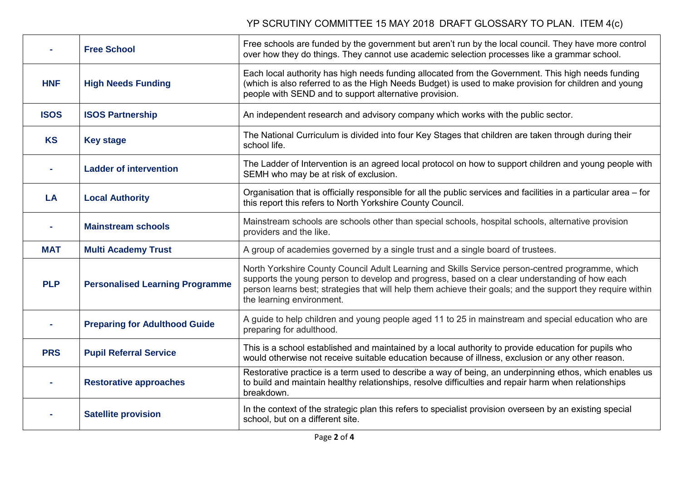## YP SCRUTINY COMMITTEE 15 MAY 2018 DRAFT GLOSSARY TO PLAN. ITEM 4(c)

|             | <b>Free School</b>                     | Free schools are funded by the government but aren't run by the local council. They have more control<br>over how they do things. They cannot use academic selection processes like a grammar school.                                                                                                                                         |
|-------------|----------------------------------------|-----------------------------------------------------------------------------------------------------------------------------------------------------------------------------------------------------------------------------------------------------------------------------------------------------------------------------------------------|
| <b>HNF</b>  | <b>High Needs Funding</b>              | Each local authority has high needs funding allocated from the Government. This high needs funding<br>(which is also referred to as the High Needs Budget) is used to make provision for children and young<br>people with SEND and to support alternative provision.                                                                         |
| <b>ISOS</b> | <b>ISOS Partnership</b>                | An independent research and advisory company which works with the public sector.                                                                                                                                                                                                                                                              |
| <b>KS</b>   | <b>Key stage</b>                       | The National Curriculum is divided into four Key Stages that children are taken through during their<br>school life.                                                                                                                                                                                                                          |
|             | <b>Ladder of intervention</b>          | The Ladder of Intervention is an agreed local protocol on how to support children and young people with<br>SEMH who may be at risk of exclusion.                                                                                                                                                                                              |
| LA          | <b>Local Authority</b>                 | Organisation that is officially responsible for all the public services and facilities in a particular area – for<br>this report this refers to North Yorkshire County Council.                                                                                                                                                               |
|             | <b>Mainstream schools</b>              | Mainstream schools are schools other than special schools, hospital schools, alternative provision<br>providers and the like.                                                                                                                                                                                                                 |
| <b>MAT</b>  | <b>Multi Academy Trust</b>             | A group of academies governed by a single trust and a single board of trustees.                                                                                                                                                                                                                                                               |
| <b>PLP</b>  | <b>Personalised Learning Programme</b> | North Yorkshire County Council Adult Learning and Skills Service person-centred programme, which<br>supports the young person to develop and progress, based on a clear understanding of how each<br>person learns best; strategies that will help them achieve their goals; and the support they require within<br>the learning environment. |
|             | <b>Preparing for Adulthood Guide</b>   | A guide to help children and young people aged 11 to 25 in mainstream and special education who are<br>preparing for adulthood.                                                                                                                                                                                                               |
| <b>PRS</b>  | <b>Pupil Referral Service</b>          | This is a school established and maintained by a local authority to provide education for pupils who<br>would otherwise not receive suitable education because of illness, exclusion or any other reason.                                                                                                                                     |
|             | <b>Restorative approaches</b>          | Restorative practice is a term used to describe a way of being, an underpinning ethos, which enables us<br>to build and maintain healthy relationships, resolve difficulties and repair harm when relationships<br>breakdown.                                                                                                                 |
|             | <b>Satellite provision</b>             | In the context of the strategic plan this refers to specialist provision overseen by an existing special<br>school, but on a different site.                                                                                                                                                                                                  |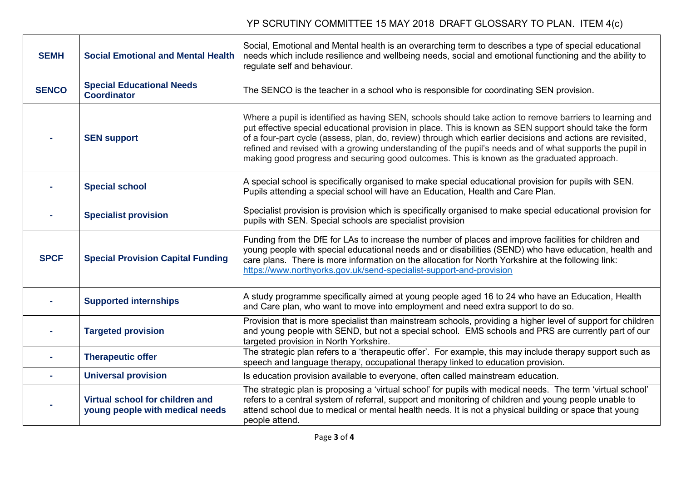## YP SCRUTINY COMMITTEE 15 MAY 2018 DRAFT GLOSSARY TO PLAN. ITEM 4(c)

| <b>SEMH</b>  | <b>Social Emotional and Mental Health</b>                          | Social, Emotional and Mental health is an overarching term to describes a type of special educational<br>needs which include resilience and wellbeing needs, social and emotional functioning and the ability to<br>regulate self and behaviour.                                                                                                                                                                                                                                                                                          |
|--------------|--------------------------------------------------------------------|-------------------------------------------------------------------------------------------------------------------------------------------------------------------------------------------------------------------------------------------------------------------------------------------------------------------------------------------------------------------------------------------------------------------------------------------------------------------------------------------------------------------------------------------|
| <b>SENCO</b> | <b>Special Educational Needs</b><br><b>Coordinator</b>             | The SENCO is the teacher in a school who is responsible for coordinating SEN provision.                                                                                                                                                                                                                                                                                                                                                                                                                                                   |
|              | <b>SEN support</b>                                                 | Where a pupil is identified as having SEN, schools should take action to remove barriers to learning and<br>put effective special educational provision in place. This is known as SEN support should take the form<br>of a four-part cycle (assess, plan, do, review) through which earlier decisions and actions are revisited,<br>refined and revised with a growing understanding of the pupil's needs and of what supports the pupil in<br>making good progress and securing good outcomes. This is known as the graduated approach. |
|              | <b>Special school</b>                                              | A special school is specifically organised to make special educational provision for pupils with SEN.<br>Pupils attending a special school will have an Education, Health and Care Plan.                                                                                                                                                                                                                                                                                                                                                  |
|              | <b>Specialist provision</b>                                        | Specialist provision is provision which is specifically organised to make special educational provision for<br>pupils with SEN. Special schools are specialist provision                                                                                                                                                                                                                                                                                                                                                                  |
| <b>SPCF</b>  | <b>Special Provision Capital Funding</b>                           | Funding from the DfE for LAs to increase the number of places and improve facilities for children and<br>young people with special educational needs and or disabilities (SEND) who have education, health and<br>care plans. There is more information on the allocation for North Yorkshire at the following link:<br>https://www.northyorks.gov.uk/send-specialist-support-and-provision                                                                                                                                               |
|              | <b>Supported internships</b>                                       | A study programme specifically aimed at young people aged 16 to 24 who have an Education, Health<br>and Care plan, who want to move into employment and need extra support to do so.                                                                                                                                                                                                                                                                                                                                                      |
|              | <b>Targeted provision</b>                                          | Provision that is more specialist than mainstream schools, providing a higher level of support for children<br>and young people with SEND, but not a special school. EMS schools and PRS are currently part of our<br>targeted provision in North Yorkshire.                                                                                                                                                                                                                                                                              |
|              | <b>Therapeutic offer</b>                                           | The strategic plan refers to a 'therapeutic offer'. For example, this may include therapy support such as<br>speech and language therapy, occupational therapy linked to education provision.                                                                                                                                                                                                                                                                                                                                             |
|              | <b>Universal provision</b>                                         | Is education provision available to everyone, often called mainstream education.                                                                                                                                                                                                                                                                                                                                                                                                                                                          |
|              | Virtual school for children and<br>young people with medical needs | The strategic plan is proposing a 'virtual school' for pupils with medical needs. The term 'virtual school'<br>refers to a central system of referral, support and monitoring of children and young people unable to<br>attend school due to medical or mental health needs. It is not a physical building or space that young<br>people attend.                                                                                                                                                                                          |